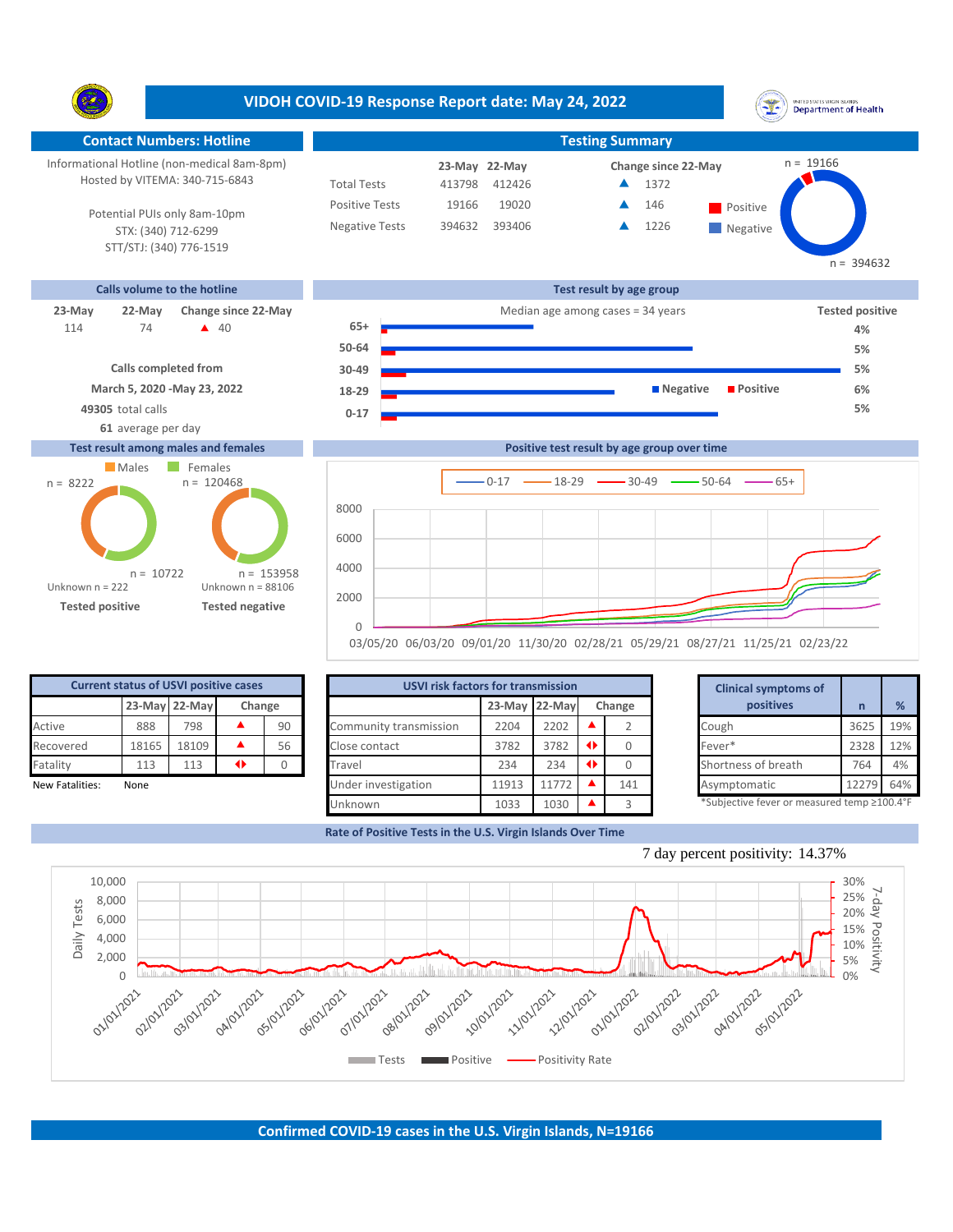**VIDOH COVID-19 Response Report date: May 24, 2022** UNITED STATES VIRGIN ISLANDS<br>Department of Health Y. **Contact Numbers: Hotline Testing Summary Testing Summary**  $n = 19166$ Informational Hotline (non-medical 8am-8pm) **22-May 23-May Change since 22-May** Hosted by VITEMA: 340-715-6843 Total Tests 413798 412426 ▲ 1372 Positive Tests 19166 19020 **A** 146 **Positive**  $\blacktriangle$ 146 Potential PUIs only 8am-10pm Negative Tests 394632 393406 1226  $\blacktriangle$ STX: (340) 712-6299 **Negative** STT/STJ: (340) 776-1519  $n = 394632$ **Calls volume to the hotline Test result by age group 23-May 22-May** Change since 22-May **Change since 22-May Change and Change among cases = 34 years Tested positive** 74 **40 65+** 114 **4% 50-64 5% Calls completed from 30-49 5% March 5, 2020 -May 23, 2022 18-29 Negative Positive 6% 49305** total calls **5% 0-17 61** average per day **Test result among males and females Positive test result by age group over time** Males Females  $n = 120468$ n = 8222  $0-17$   $\longrightarrow$  18-29  $\longrightarrow$  30-49  $\longrightarrow$  50-64  $\longrightarrow$  65+ 8000 6000 4000 n = 153958 n = 10722

None

Unknown n = 222

**Tested positive Tested negative**

Unknown n = 88106

0 56  $\Omega$ 

2000

**Current status of USVI positive cases**

Fatality 113 113  $\rightarrow$ 

**23-May 22-May Change**

New Fatalities: None 12279 64% Under investigation 11913 11772 ▲ 141 Asymptomatic 12279 64% Active  $888$  798  $\blacktriangle$  90 Community transmission 2204 2202  $\blacktriangle$  2 Cough Recovered 18165 18109 **A** 56 Close contact 3782 3782 **4** 0 Fever\* 1033 1030 **A** 3 **USVI risk factors for transmission Clinical symptoms of**  Close contact 3782 3782 0 Travel 234 234  $\bullet$  0 Under investigation 11913 11772  $\blacktriangle$  141 Unknown **23-May 22-May Change n %**

03/05/20 06/03/20 09/01/20 11/30/20 02/28/21 05/29/21 08/27/21 11/25/21 02/23/22

**Rate of Positive Tests in the U.S. Virgin Islands Over Time**

|                 |     | <b>Clinical symptoms of</b>                 |       |     |
|-----------------|-----|---------------------------------------------|-------|-----|
| Change          |     | positives                                   | n     | %   |
| ▲               |     | Cough                                       | 3625  | 19% |
| $\blacklozenge$ |     | Fever*                                      | 2328  | 12% |
| $\blacklozenge$ |     | Shortness of breath                         | 764   | 4%  |
|                 | 141 | Asymptomatic                                | 12279 | 64% |
|                 |     | *Subjective fever or measured temp ≥100.4°F |       |     |